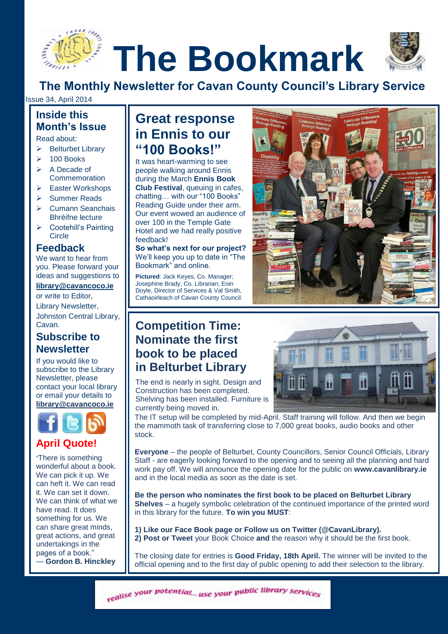# **The Bookmark**

**The Monthly Newsletter for Cavan County Council's Library Service**

#### Issue 34, April 2014

#### **Inside this Month's Issue**

Read about:

- $\triangleright$  Belturbet Library
- 100 Books
- A Decade of **ISSUE 2, Commemoration** 
	- Easter Workshops
	- Summer Reads
	- Cumann Seanchais Bhréifne lecture
	- Cootehill's Painting **Circle**

#### **Feedback**

We want to hear from you. Please forward your ideas and suggestions to

**[library@cavancoco.ie](mailto:info@cavanlibrary.ie?subject=Newsletter%20ideas%20&%20Feedback)**

or write to Editor,

Library Newsletter, Johnston Central Library, Cavan.

### **Subscribe to Newsletter**

If you would like to subscribe to the Library Newsletter, please contact your local library or email your details to **[library@cavancoco.ie](mailto:library@cavancoco.ie)**



### **April Quote!**

"There is something wonderful about a book. We can pick it up. We can heft it. We can read it. We can set it down. We can think of what we have read. It does something for us. We can share great minds, great actions, and great undertakings in the pages of a book." ― **[Gordon B. Hinckley](http://www.goodreads.com/author/show/313356.Gordon_B_Hinckley)**

# **Great response in Ennis to our "100 Books!"**

It was heart-warming to see people walking around Ennis during the March **Ennis Book Club Festival**, queuing in cafes, chatting… with our "100 Books" Reading Guide under their arm. Our event wowed an audience of over 100 in the Temple Gate Hotel and we had really positive feedback!

**So what's next for our project?** We'll keep you up to date in "The Bookmark" and online.

**Pictured**: Jack Keyes, Co. Manager; Josephine Brady, Co. Librarian; Eoin Doyle, Director of Services & Val Smith, Cathaoirleach of Cavan County Council.



## **Competition Time: Nominate the first book to be placed in Belturbet Library**

The end is nearly in sight. Design and Construction has been completed. Shelving has been installed. Furniture is currently being moved in.

The IT setup will be completed by mid-April. Staff training will follow. And then we begin the mammoth task of transferring close to 7,000 great books, audio books and other stock.

**Everyone** – the people of Belturbet, County Councillors, Senior Council Officials, Library Staff - are eagerly looking forward to the opening and to seeing all the planning and hard work pay off. We will announce the opening date for the public on **www.cavanlibrary.ie** and in the local media as soon as the date is set.

**Be the person who nominates the first book to be placed on Belturbet Library Shelves** – a hugely symbolic celebration of the continued importance of the printed word in this library for the future. **To win you MUST**:

**1) Like our Face Book page or Follow us on Twitter (@CavanLibrary). 2) Post or Tweet** your Book Choice **and** the reason why it should be the first book.

The closing date for entries is **Good Friday, 18th April.** The winner will be invited to the official opening and to the first day of public opening to add their selection to the library.